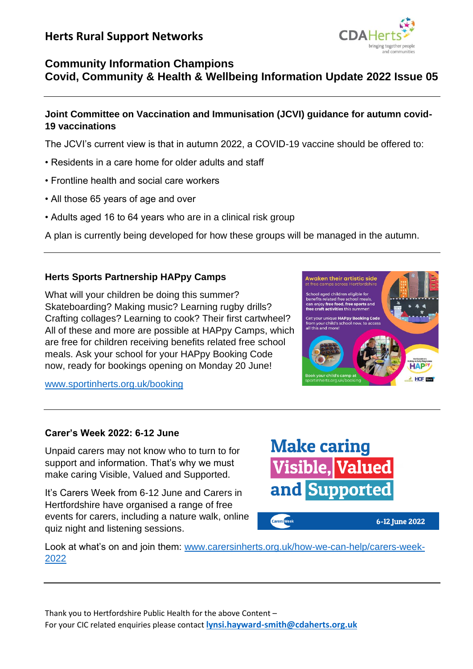

# **Community Information Champions Covid, Community & Health & Wellbeing Information Update 2022 Issue 05**

## **Joint Committee on Vaccination and Immunisation (JCVI) guidance for autumn covid-19 vaccinations**

The JCVI's current view is that in autumn 2022, a COVID-19 vaccine should be offered to:

- Residents in a care home for older adults and staff
- Frontline health and social care workers
- All those 65 years of age and over
- Adults aged 16 to 64 years who are in a clinical risk group

A plan is currently being developed for how these groups will be managed in the autumn.

## **Herts Sports Partnership HAPpy Camps**

What will your children be doing this summer? Skateboarding? Making music? Learning rugby drills? Crafting collages? Learning to cook? Their first cartwheel? All of these and more are possible at HAPpy Camps, which are free for children receiving benefits related free school meals. Ask your school for your HAPpy Booking Code now, ready for bookings opening on Monday 20 June!



6-12 June 2022

[www.sportinherts.org.uk/booking](http://www.sportinherts.org.uk/booking?fbclid=IwAR2GMwY0qYF6Apq3m886ZwCdKahyQKMxkDfaDAWi5d4po-6FHJCX2UNBWuA)

## **Carer's Week 2022: 6-12 June**

Unpaid carers may not know who to turn to for support and information. That's why we must make caring Visible, Valued and Supported.

It's Carers Week from 6-12 June and Carers in Hertfordshire have organised a range of free events for carers, including a nature walk, online quiz night and listening sessions.



Look at what's on and join them: [www.carersinherts.org.uk/how-we-can-help/carers-week-](http://www.carersinherts.org.uk/how-we-can-help/carers-week-2022)[2022](http://www.carersinherts.org.uk/how-we-can-help/carers-week-2022)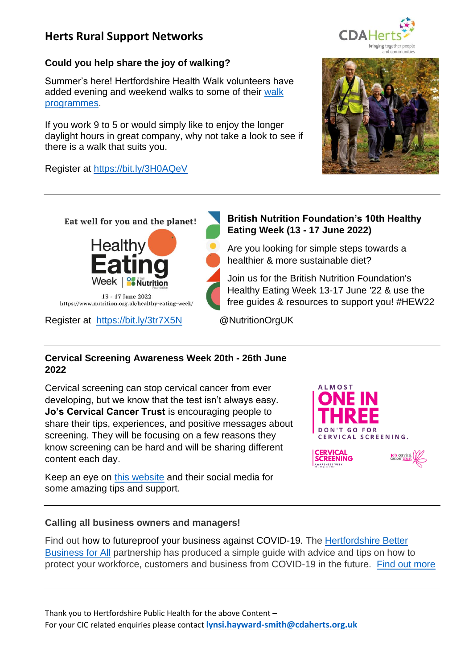## **Could you help share the joy of walking?**

Summer's here! Hertfordshire Health Walk volunteers have added evening and weekend walks to some of their [walk](https://email.hertfordshire.gov.uk/5ESZ-JTX9-4A193E-F38R0-1/c.aspx)  [programmes.](https://email.hertfordshire.gov.uk/5ESZ-JTX9-4A193E-F38R0-1/c.aspx)

If you work 9 to 5 or would simply like to enjoy the longer daylight hours in great company, why not take a look to see if there is a walk that suits you.

Register at<https://bit.ly/3H0AQeV>







Register at <https://bit.ly/3tr7X5N>@NutritionOrgUK

## **British Nutrition Foundation's 10th Healthy Eating Week (13 - 17 June 2022)**

Are you looking for simple steps towards a healthier & more sustainable diet?

Join us for the British Nutrition Foundation's Healthy Eating Week 13-17 June '22 & use the free guides & resources to support you! #HEW22

VARENESS WEEK

## **Cervical Screening Awareness Week 20th - 26th June 2022**

Cervical screening can stop cervical cancer from ever developing, but we know that the test isn't always easy. **Jo's Cervical Cancer Trust** is encouraging people to share their tips, experiences, and positive messages about screening. They will be focusing on a few reasons they know screening can be hard and will be sharing different content each day.

Keep an eye on [this website](https://www.jostrust.org.uk/) and their social media for some amazing tips and support.



## **Calling all business owners and managers!**

Find out how to futureproof your business against COVID-19. The [Hertfordshire Better](http://www.hertfordshirelep.com/)  [Business for All](http://www.hertfordshirelep.com/) partnership has produced a simple guide with advice and tips on how to protect your workforce, customers and business from COVID-19 in the future. [Find out more](https://www.hertfordshirelep.com/media/u2uhig3a/infection-control-for-businesses-after-covid-19.pdf?dm_i=5ESZ,JOV7,4A193E,2AK1Y,1)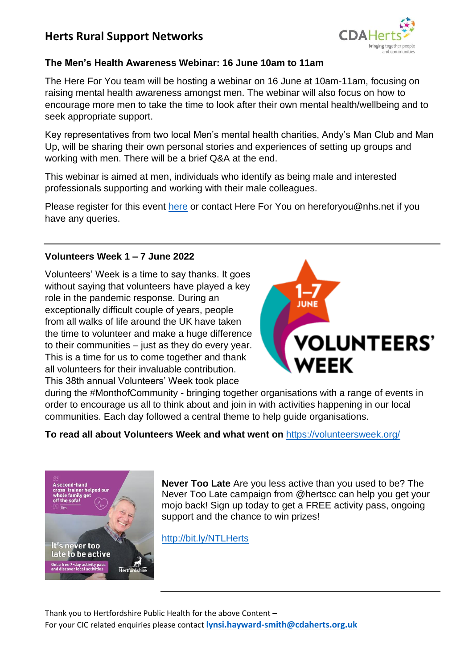

## **The Men's Health Awareness Webinar: 16 June 10am to 11am**

The Here For You team will be hosting a webinar on 16 June at 10am-11am, focusing on raising mental health awareness amongst men. The webinar will also focus on how to encourage more men to take the time to look after their own mental health/wellbeing and to seek appropriate support.

Key representatives from two local Men's mental health charities, Andy's Man Club and Man Up, will be sharing their own personal stories and experiences of setting up groups and working with men. There will be a brief Q&A at the end.

This webinar is aimed at men, individuals who identify as being male and interested professionals supporting and working with their male colleagues.

Please register for this event [here](https://www.eventbrite.co.uk/e/mens-mental-health-awareness-webinar-tickets-345616647697) or contact Here For You on hereforyou@nhs.net if you have any queries.

#### **Volunteers Week 1 – 7 June 2022**

Volunteers' Week is a time to say thanks. It goes without saying that volunteers have played a key role in the pandemic response. During an exceptionally difficult couple of years, people from all walks of life around the UK have taken the time to volunteer and make a huge difference to their communities – just as they do every year. This is a time for us to come together and thank all volunteers for their invaluable contribution. This 38th annual Volunteers' Week took place



during the #MonthofCommunity - bringing together organisations with a range of events in order to encourage us all to think about and join in with activities happening in our local communities. Each day followed a central theme to help guide organisations.

#### **To read all about Volunteers Week and what went on** <https://volunteersweek.org/>



**Never Too Late** Are you less active than you used to be? The Never Too Late campaign from @hertscc can help you get your mojo back! Sign up today to get a FREE activity pass, ongoing support and the chance to win prizes!

<http://bit.ly/NTLHerts>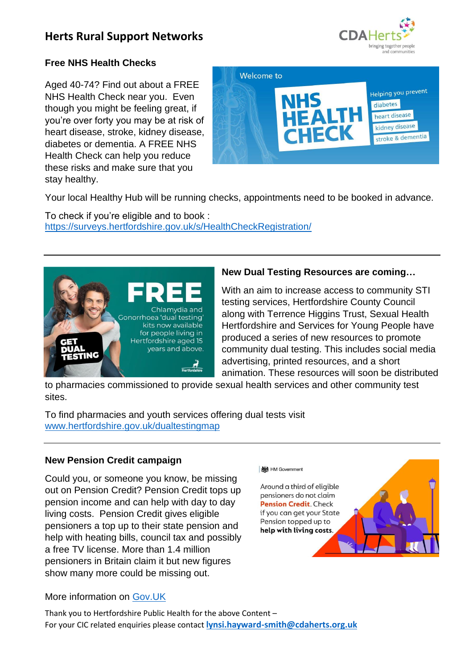

## **Free NHS Health Checks**

Aged 40-74? Find out about a FREE NHS Health Check near you. Even though you might be feeling great, if you're over forty you may be at risk of heart disease, stroke, kidney disease, diabetes or dementia. A FREE NHS Health Check can help you reduce these risks and make sure that you stay healthy.



Your local Healthy Hub will be running checks, appointments need to be booked in advance.

To check if you're eligible and to book : <https://surveys.hertfordshire.gov.uk/s/HealthCheckRegistration/>



## **New Dual Testing Resources are coming…**

With an aim to increase access to community STI testing services, Hertfordshire County Council along with Terrence Higgins Trust, Sexual Health Hertfordshire and Services for Young People have produced a series of new resources to promote community dual testing. This includes social media advertising, printed resources, and a short animation. These resources will soon be distributed

to pharmacies commissioned to provide sexual health services and other community test sites.

To find pharmacies and youth services offering dual tests visit [www.hertfordshire.gov.uk/dualtestingmap](http://www.hertfordshire.gov.uk/dualtestingmap)

## **New Pension Credit campaign**

Could you, or someone you know, be missing out on Pension Credit? Pension Credit tops up pension income and can help with day to day living costs. Pension Credit gives eligible pensioners a top up to their state pension and help with heating bills, council tax and possibly a free TV license. More than 1.4 million pensioners in Britain claim it but new figures show many more could be missing out.



## More information on [Gov.UK](https://www.gov.uk/pension-credit)